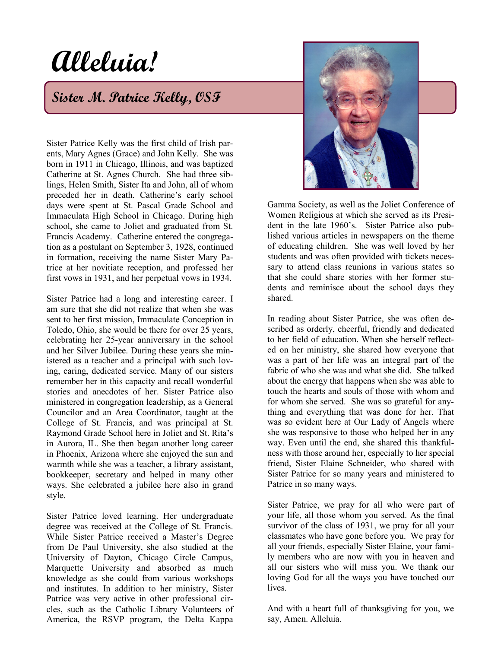# **Alleluia!**

## **Sister M. Patrice Kelly, OSF**

Sister Patrice Kelly was the first child of Irish parents, Mary Agnes (Grace) and John Kelly. She was born in 1911 in Chicago, Illinois, and was baptized Catherine at St. Agnes Church. She had three siblings, Helen Smith, Sister Ita and John, all of whom preceded her in death. Catherine's early school days were spent at St. Pascal Grade School and Immaculata High School in Chicago. During high school, she came to Joliet and graduated from St. Francis Academy. Catherine entered the congregation as a postulant on September 3, 1928, continued in formation, receiving the name Sister Mary Patrice at her novitiate reception, and professed her first vows in 1931, and her perpetual vows in 1934.

Sister Patrice had a long and interesting career. I am sure that she did not realize that when she was sent to her first mission, Immaculate Conception in Toledo, Ohio, she would be there for over 25 years, celebrating her 25-year anniversary in the school and her Silver Jubilee. During these years she ministered as a teacher and a principal with such loving, caring, dedicated service. Many of our sisters remember her in this capacity and recall wonderful stories and anecdotes of her. Sister Patrice also ministered in congregation leadership, as a General Councilor and an Area Coordinator, taught at the College of St. Francis, and was principal at St. Raymond Grade School here in Joliet and St. Rita's in Aurora, IL. She then began another long career in Phoenix, Arizona where she enjoyed the sun and warmth while she was a teacher, a library assistant, bookkeeper, secretary and helped in many other ways. She celebrated a jubilee here also in grand style.

Sister Patrice loved learning. Her undergraduate degree was received at the College of St. Francis. While Sister Patrice received a Master's Degree from De Paul University, she also studied at the University of Dayton, Chicago Circle Campus, Marquette University and absorbed as much knowledge as she could from various workshops and institutes. In addition to her ministry, Sister Patrice was very active in other professional circles, such as the Catholic Library Volunteers of America, the RSVP program, the Delta Kappa



Gamma Society, as well as the Joliet Conference of Women Religious at which she served as its President in the late 1960's. Sister Patrice also published various articles in newspapers on the theme of educating children. She was well loved by her students and was often provided with tickets necessary to attend class reunions in various states so that she could share stories with her former students and reminisce about the school days they shared.

In reading about Sister Patrice, she was often described as orderly, cheerful, friendly and dedicated to her field of education. When she herself reflected on her ministry, she shared how everyone that was a part of her life was an integral part of the fabric of who she was and what she did. She talked about the energy that happens when she was able to touch the hearts and souls of those with whom and for whom she served. She was so grateful for anything and everything that was done for her. That was so evident here at Our Lady of Angels where she was responsive to those who helped her in any way. Even until the end, she shared this thankfulness with those around her, especially to her special friend, Sister Elaine Schneider, who shared with Sister Patrice for so many years and ministered to Patrice in so many ways.

Sister Patrice, we pray for all who were part of your life, all those whom you served. As the final survivor of the class of 1931, we pray for all your classmates who have gone before you. We pray for all your friends, especially Sister Elaine, your family members who are now with you in heaven and all our sisters who will miss you. We thank our loving God for all the ways you have touched our lives.

And with a heart full of thanksgiving for you, we say, Amen. Alleluia.